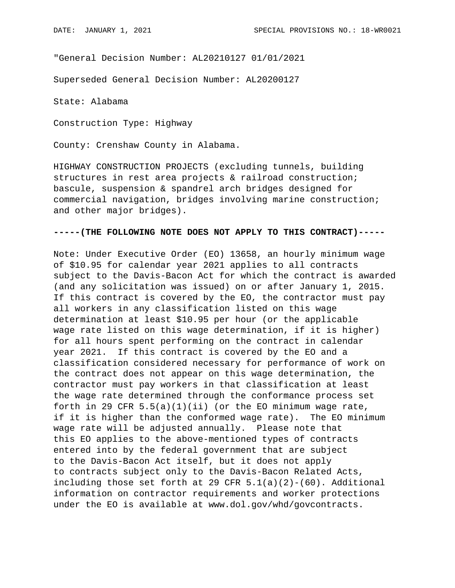"General Decision Number: AL20210127 01/01/2021

Superseded General Decision Number: AL20200127

State: Alabama

Construction Type: Highway

County: Crenshaw County in Alabama.

HIGHWAY CONSTRUCTION PROJECTS (excluding tunnels, building structures in rest area projects & railroad construction; bascule, suspension & spandrel arch bridges designed for commercial navigation, bridges involving marine construction; and other major bridges).

## **-----(THE FOLLOWING NOTE DOES NOT APPLY TO THIS CONTRACT)-----**

Note: Under Executive Order (EO) 13658, an hourly minimum wage of \$10.95 for calendar year 2021 applies to all contracts subject to the Davis-Bacon Act for which the contract is awarded (and any solicitation was issued) on or after January 1, 2015. If this contract is covered by the EO, the contractor must pay all workers in any classification listed on this wage determination at least \$10.95 per hour (or the applicable wage rate listed on this wage determination, if it is higher) for all hours spent performing on the contract in calendar year 2021. If this contract is covered by the EO and a classification considered necessary for performance of work on the contract does not appear on this wage determination, the contractor must pay workers in that classification at least the wage rate determined through the conformance process set forth in 29 CFR  $5.5(a)(1)(ii)$  (or the EO minimum wage rate, if it is higher than the conformed wage rate). The EO minimum wage rate will be adjusted annually. Please note that this EO applies to the above-mentioned types of contracts entered into by the federal government that are subject to the Davis-Bacon Act itself, but it does not apply to contracts subject only to the Davis-Bacon Related Acts, including those set forth at 29 CFR  $5.1(a)(2)-(60)$ . Additional information on contractor requirements and worker protections under the EO is available at www.dol.gov/whd/govcontracts.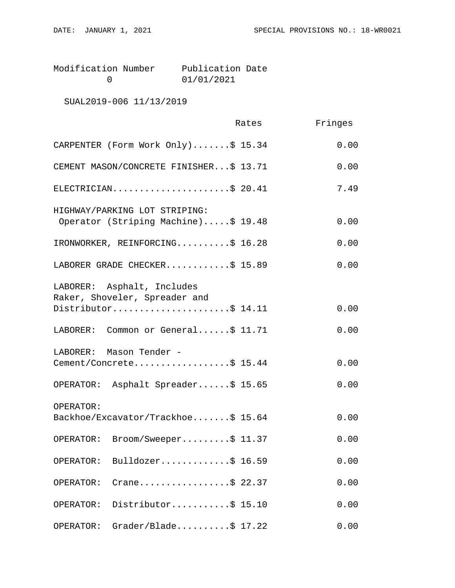| Modification Number | Publication Date |  |
|---------------------|------------------|--|
|                     | 01/01/2021       |  |

SUAL2019-006 11/13/2019

|                                                                                    | Rates | Fringes |
|------------------------------------------------------------------------------------|-------|---------|
| CARPENTER (Form Work Only)\$ 15.34                                                 |       | 0.00    |
| CEMENT MASON/CONCRETE FINISHER\$ 13.71                                             |       | 0.00    |
| ELECTRICIAN\$ 20.41                                                                |       | 7.49    |
| HIGHWAY/PARKING LOT STRIPING:<br>Operator (Striping Machine)\$ 19.48               |       | 0.00    |
| IRONWORKER, REINFORCING\$ 16.28                                                    |       | 0.00    |
| LABORER GRADE CHECKER\$ 15.89                                                      |       | 0.00    |
| LABORER: Asphalt, Includes<br>Raker, Shoveler, Spreader and<br>Distributor\$ 14.11 |       | 0.00    |
|                                                                                    |       |         |
| LABORER: Common or General\$ 11.71                                                 |       | 0.00    |
| LABORER: Mason Tender -<br>Cement/Concrete\$ 15.44                                 |       | 0.00    |
| OPERATOR: Asphalt Spreader\$ 15.65                                                 |       | 0.00    |
| OPERATOR:<br>Backhoe/Excavator/Trackhoe\$ 15.64                                    |       | 0.00    |
| Broom/Sweeper\$ 11.37<br>OPERATOR:                                                 |       | 0.00    |
| Bulldozer\$ 16.59<br>OPERATOR:                                                     |       | 0.00    |
| Crane\$ 22.37<br>OPERATOR:                                                         |       | 0.00    |
| Distributor\$ 15.10<br>OPERATOR:                                                   |       | 0.00    |
| $Grader/Blade \ldots$ . \$ 17.22<br>OPERATOR:                                      |       | 0.00    |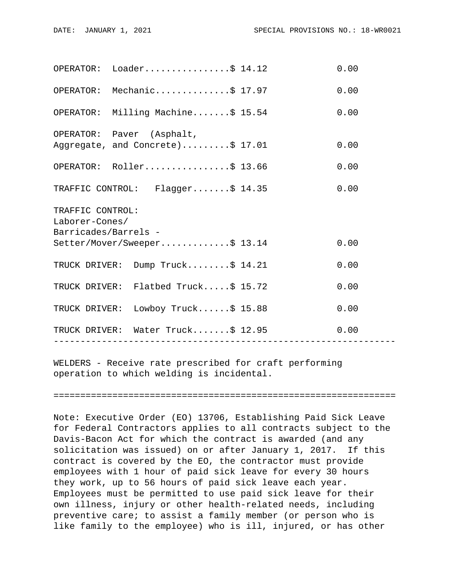|                                                            | OPERATOR: Loader\$ 14.12                                      |                | 0.00 |  |  |
|------------------------------------------------------------|---------------------------------------------------------------|----------------|------|--|--|
|                                                            | OPERATOR: Mechanic\$ 17.97                                    |                | 0.00 |  |  |
|                                                            | OPERATOR: Milling Machine\$ 15.54                             |                | 0.00 |  |  |
|                                                            | OPERATOR: Paver (Asphalt,<br>Aggregate, and Concrete)\$ 17.01 |                | 0.00 |  |  |
|                                                            | OPERATOR: Roller\$ 13.66                                      |                | 0.00 |  |  |
|                                                            | TRAFFIC CONTROL: Flagger\$ 14.35                              |                | 0.00 |  |  |
| TRAFFIC CONTROL:<br>Laborer-Cones/<br>Barricades/Barrels - |                                                               |                |      |  |  |
|                                                            | Setter/Mover/Sweeper\$ 13.14                                  |                | 0.00 |  |  |
|                                                            | TRUCK DRIVER: Dump Truck\$ 14.21                              |                | 0.00 |  |  |
|                                                            | TRUCK DRIVER: Flatbed Truck\$ 15.72                           |                | 0.00 |  |  |
|                                                            | TRUCK DRIVER: Lowboy Truck\$ 15.88                            |                | 0.00 |  |  |
|                                                            | TRUCK DRIVER: Water Truck\$ 12.95<br>------------------       | -------------- | 0.00 |  |  |
|                                                            |                                                               |                |      |  |  |

WELDERS - Receive rate prescribed for craft performing operation to which welding is incidental.

================================================================

Note: Executive Order (EO) 13706, Establishing Paid Sick Leave for Federal Contractors applies to all contracts subject to the Davis-Bacon Act for which the contract is awarded (and any solicitation was issued) on or after January 1, 2017. If this contract is covered by the EO, the contractor must provide employees with 1 hour of paid sick leave for every 30 hours they work, up to 56 hours of paid sick leave each year. Employees must be permitted to use paid sick leave for their own illness, injury or other health-related needs, including preventive care; to assist a family member (or person who is like family to the employee) who is ill, injured, or has other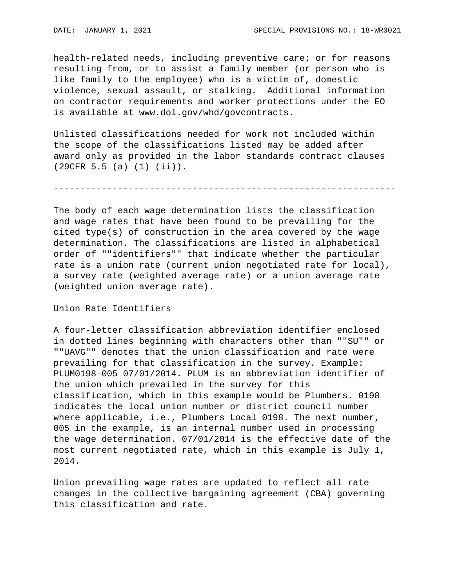health-related needs, including preventive care; or for reasons resulting from, or to assist a family member (or person who is like family to the employee) who is a victim of, domestic violence, sexual assault, or stalking. Additional information on contractor requirements and worker protections under the EO is available at www.dol.gov/whd/govcontracts.

Unlisted classifications needed for work not included within the scope of the classifications listed may be added after award only as provided in the labor standards contract clauses (29CFR 5.5 (a) (1) (ii)).

----------------------------------------------------------------

The body of each wage determination lists the classification and wage rates that have been found to be prevailing for the cited type(s) of construction in the area covered by the wage determination. The classifications are listed in alphabetical order of ""identifiers"" that indicate whether the particular rate is a union rate (current union negotiated rate for local), a survey rate (weighted average rate) or a union average rate (weighted union average rate).

Union Rate Identifiers

A four-letter classification abbreviation identifier enclosed in dotted lines beginning with characters other than ""SU"" or ""UAVG"" denotes that the union classification and rate were prevailing for that classification in the survey. Example: PLUM0198-005 07/01/2014. PLUM is an abbreviation identifier of the union which prevailed in the survey for this classification, which in this example would be Plumbers. 0198 indicates the local union number or district council number where applicable, i.e., Plumbers Local 0198. The next number, 005 in the example, is an internal number used in processing the wage determination. 07/01/2014 is the effective date of the most current negotiated rate, which in this example is July 1, 2014.

Union prevailing wage rates are updated to reflect all rate changes in the collective bargaining agreement (CBA) governing this classification and rate.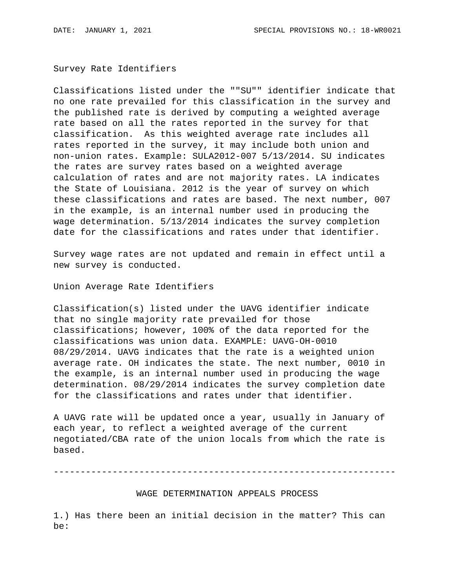Survey Rate Identifiers

Classifications listed under the ""SU"" identifier indicate that no one rate prevailed for this classification in the survey and the published rate is derived by computing a weighted average rate based on all the rates reported in the survey for that classification. As this weighted average rate includes all rates reported in the survey, it may include both union and non-union rates. Example: SULA2012-007 5/13/2014. SU indicates the rates are survey rates based on a weighted average calculation of rates and are not majority rates. LA indicates the State of Louisiana. 2012 is the year of survey on which these classifications and rates are based. The next number, 007 in the example, is an internal number used in producing the wage determination. 5/13/2014 indicates the survey completion date for the classifications and rates under that identifier.

Survey wage rates are not updated and remain in effect until a new survey is conducted.

Union Average Rate Identifiers

Classification(s) listed under the UAVG identifier indicate that no single majority rate prevailed for those classifications; however, 100% of the data reported for the classifications was union data. EXAMPLE: UAVG-OH-0010 08/29/2014. UAVG indicates that the rate is a weighted union average rate. OH indicates the state. The next number, 0010 in the example, is an internal number used in producing the wage determination. 08/29/2014 indicates the survey completion date for the classifications and rates under that identifier.

A UAVG rate will be updated once a year, usually in January of each year, to reflect a weighted average of the current negotiated/CBA rate of the union locals from which the rate is based.

----------------------------------------------------------------

WAGE DETERMINATION APPEALS PROCESS

1.) Has there been an initial decision in the matter? This can be: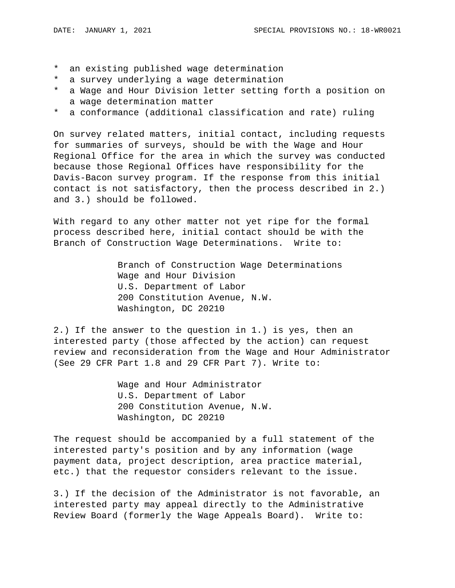- \* an existing published wage determination
- \* a survey underlying a wage determination
- \* a Wage and Hour Division letter setting forth a position on a wage determination matter
- \* a conformance (additional classification and rate) ruling

On survey related matters, initial contact, including requests for summaries of surveys, should be with the Wage and Hour Regional Office for the area in which the survey was conducted because those Regional Offices have responsibility for the Davis-Bacon survey program. If the response from this initial contact is not satisfactory, then the process described in 2.) and 3.) should be followed.

With regard to any other matter not yet ripe for the formal process described here, initial contact should be with the Branch of Construction Wage Determinations. Write to:

> Branch of Construction Wage Determinations Wage and Hour Division U.S. Department of Labor 200 Constitution Avenue, N.W. Washington, DC 20210

2.) If the answer to the question in 1.) is yes, then an interested party (those affected by the action) can request review and reconsideration from the Wage and Hour Administrator (See 29 CFR Part 1.8 and 29 CFR Part 7). Write to:

> Wage and Hour Administrator U.S. Department of Labor 200 Constitution Avenue, N.W. Washington, DC 20210

The request should be accompanied by a full statement of the interested party's position and by any information (wage payment data, project description, area practice material, etc.) that the requestor considers relevant to the issue.

3.) If the decision of the Administrator is not favorable, an interested party may appeal directly to the Administrative Review Board (formerly the Wage Appeals Board). Write to: